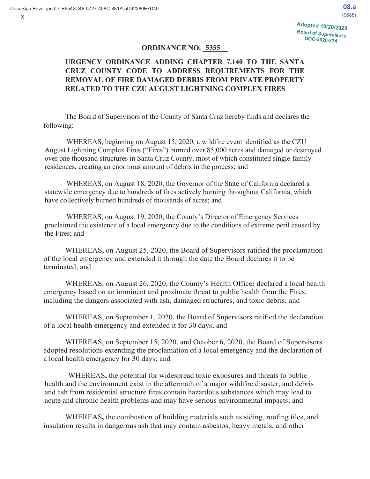08.a  $(9688)$ 

### **ORDINANCE NO. 5355**

# **URGENCY ORDINANCE ADDING CHAPTER 7.140 TO THE SANTA CRUZ COUNTY CODE TO ADDRESS REQUIREMENTS FOR THE REMOVAL OF FIRE DAMAGED DEBRIS FROM PRIVATE PROPERTY RELATED TO THE CZU AUGUST LIGHTNING COMPLEX FIRES**

The Board of Supervisors of the County of Santa Cruz hereby finds and declares the following:

WHEREAS, beginning on August 15, 2020, a wildfire event identified as the CZU August Lightning Complex Fires ("Fires") burned over 85,000 acres and damaged or destroyed over one thousand structures in Santa Cruz County, most of which constituted single-family residences, creating an enormous amount of debris in the process; and

WHEREAS, on August 18, 2020, the Governor of the State of California declared a statewide emergency due to hundreds of fires actively burning throughout California, which have collectively burned hundreds of thousands of acres; and

WHEREAS, on August 19, 2020, the County's Director of Emergency Services proclaimed the existence of a local emergency due to the conditions of extreme peril caused by the Fires; and

WHEREAS**,** on August 25, 2020, the Board of Supervisors ratified the proclamation of the local emergency and extended it through the date the Board declares it to be terminated; and

WHEREAS, on August 26, 2020, the County's Health Officer declared a local health emergency based on an imminent and proximate threat to public health from the Fires, including the dangers associated with ash, damaged structures, and toxic debris; and

WHEREAS, on September 1, 2020, the Board of Supervisors ratified the declaration of a local health emergency and extended it for 30 days; and

WHEREAS, on September 15, 2020, and October 6, 2020, the Board of Supervisors adopted resolutions extending the proclamation of a local emergency and the declaration of a local health emergency for 30 days; and

WHEREAS**,** the potential for widespread toxic exposures and threats to public health and the environment exist in the aftermath of a major wildfire disaster, and debris and ash from residential structure fires contain hazardous substances which may lead to acute and chronic health problems and may have serious environmental impacts; and

WHEREAS**,** the combustion of building materials such as siding, roofing tiles, and insulation results in dangerous ash that may contain asbestos, heavy metals, and other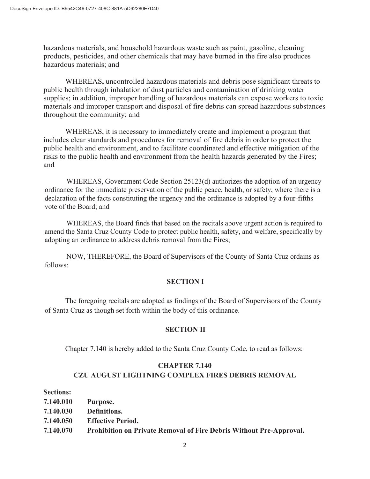hazardous materials, and household hazardous waste such as paint, gasoline, cleaning products, pesticides, and other chemicals that may have burned in the fire also produces hazardous materials; and

WHEREAS**,** uncontrolled hazardous materials and debris pose significant threats to public health through inhalation of dust particles and contamination of drinking water supplies; in addition, improper handling of hazardous materials can expose workers to toxic materials and improper transport and disposal of fire debris can spread hazardous substances throughout the community; and

WHEREAS, it is necessary to immediately create and implement a program that includes clear standards and procedures for removal of fire debris in order to protect the public health and environment, and to facilitate coordinated and effective mitigation of the risks to the public health and environment from the health hazards generated by the Fires; and

WHEREAS, Government Code Section 25123(d) authorizes the adoption of an urgency ordinance for the immediate preservation of the public peace, health, or safety, where there is a declaration of the facts constituting the urgency and the ordinance is adopted by a four-fifths vote of the Board; and

WHEREAS, the Board finds that based on the recitals above urgent action is required to amend the Santa Cruz County Code to protect public health, safety, and welfare, specifically by adopting an ordinance to address debris removal from the Fires;

NOW, THEREFORE, the Board of Supervisors of the County of Santa Cruz ordains as follows:

#### **SECTION I**

The foregoing recitals are adopted as findings of the Board of Supervisors of the County of Santa Cruz as though set forth within the body of this ordinance.

#### **SECTION II**

Chapter 7.140 is hereby added to the Santa Cruz County Code, to read as follows:

#### **CHAPTER 7.140**

## **CZU AUGUST LIGHTNING COMPLEX FIRES DEBRIS REMOVAL**

#### **Sections:**

**7.140.010 Purpose. 7.140.030 Definitions. 7.140.050 Effective Period. 7.140.070 Prohibition on Private Removal of Fire Debris Without Pre-Approval.**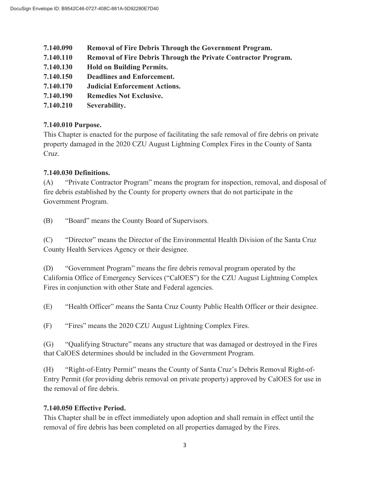- **7.140.090 Removal of Fire Debris Through the Government Program.**
- **7.140.110 Removal of Fire Debris Through the Private Contractor Program.**
- **7.140.130 Hold on Building Permits.**
- **7.140.150 Deadlines and Enforcement.**
- **7.140.170 Judicial Enforcement Actions.**
- **7.140.190 Remedies Not Exclusive.**
- **7.140.210 Severability.**

# **7.140.010 Purpose.**

This Chapter is enacted for the purpose of facilitating the safe removal of fire debris on private property damaged in the 2020 CZU August Lightning Complex Fires in the County of Santa Cruz.

# **7.140.030 Definitions.**

(A) "Private Contractor Program" means the program for inspection, removal, and disposal of fire debris established by the County for property owners that do not participate in the Government Program.

(B) "Board" means the County Board of Supervisors.

(C) "Director" means the Director of the Environmental Health Division of the Santa Cruz County Health Services Agency or their designee.

(D) "Government Program" means the fire debris removal program operated by the California Office of Emergency Services ("CalOES") for the CZU August Lightning Complex Fires in conjunction with other State and Federal agencies.

(E) "Health Officer" means the Santa Cruz County Public Health Officer or their designee.

(F) "Fires" means the 2020 CZU August Lightning Complex Fires.

(G) "Qualifying Structure" means any structure that was damaged or destroyed in the Fires that CalOES determines should be included in the Government Program.

(H) "Right-of-Entry Permit" means the County of Santa Cruz's Debris Removal Right-of-Entry Permit (for providing debris removal on private property) approved by CalOES for use in the removal of fire debris.

# **7.140.050 Effective Period.**

This Chapter shall be in effect immediately upon adoption and shall remain in effect until the removal of fire debris has been completed on all properties damaged by the Fires.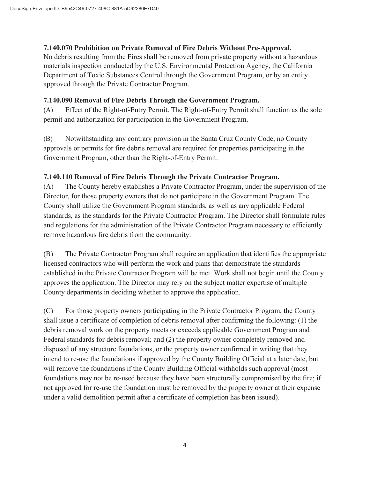## **7.140.070 Prohibition on Private Removal of Fire Debris Without Pre-Approval.**

No debris resulting from the Fires shall be removed from private property without a hazardous materials inspection conducted by the U.S. Environmental Protection Agency, the California Department of Toxic Substances Control through the Government Program, or by an entity approved through the Private Contractor Program.

# **7.140.090 Removal of Fire Debris Through the Government Program.**

(A) Effect of the Right-of-Entry Permit. The Right-of-Entry Permit shall function as the sole permit and authorization for participation in the Government Program.

(B) Notwithstanding any contrary provision in the Santa Cruz County Code, no County approvals or permits for fire debris removal are required for properties participating in the Government Program, other than the Right-of-Entry Permit.

# **7.140.110 Removal of Fire Debris Through the Private Contractor Program.**

(A) The County hereby establishes a Private Contractor Program, under the supervision of the Director, for those property owners that do not participate in the Government Program. The County shall utilize the Government Program standards, as well as any applicable Federal standards, as the standards for the Private Contractor Program. The Director shall formulate rules and regulations for the administration of the Private Contractor Program necessary to efficiently remove hazardous fire debris from the community.

(B) The Private Contractor Program shall require an application that identifies the appropriate licensed contractors who will perform the work and plans that demonstrate the standards established in the Private Contractor Program will be met. Work shall not begin until the County approves the application. The Director may rely on the subject matter expertise of multiple County departments in deciding whether to approve the application.

(C) For those property owners participating in the Private Contractor Program, the County shall issue a certificate of completion of debris removal after confirming the following: (1) the debris removal work on the property meets or exceeds applicable Government Program and Federal standards for debris removal; and (2) the property owner completely removed and disposed of any structure foundations, or the property owner confirmed in writing that they intend to re-use the foundations if approved by the County Building Official at a later date, but will remove the foundations if the County Building Official withholds such approval (most foundations may not be re-used because they have been structurally compromised by the fire; if not approved for re-use the foundation must be removed by the property owner at their expense under a valid demolition permit after a certificate of completion has been issued).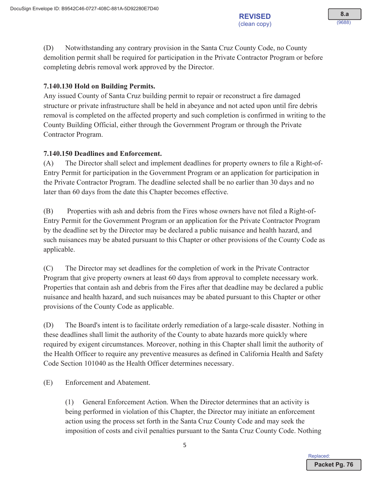(D) Notwithstanding any contrary provision in the Santa Cruz County Code, no County demolition permit shall be required for participation in the Private Contractor Program or before completing debris removal work approved by the Director.

# 7.140.130 Hold on Building Permits.

Any issued County of Santa Cruz building permit to repair or reconstruct a fire damaged structure or private infrastructure shall be held in abeyance and not acted upon until fire debris removal is completed on the affected property and such completion is confirmed in writing to the County Building Official, either through the Government Program or through the Private Contractor Program.

## **7.140.150 Deadlines and Enforcement.**

 $(A)$  The Director shall select and implement deadlines for property owners to file a Right-of-Entry Permit for participation in the Government Program or an application for participation in the Private Contractor Program. The deadline selected shall be no earlier than 30 days and no later than 60 days from the date this Chapter becomes effective.

(B) Properties with ash and debris from the Fires whose owners have not filed a Right-of-Entry Permit for the Government Program or an application for the Private Contractor Program by the deadline set by the Director may be declared a public nuisance and health hazard, and such nuisances may be abated pursuant to this Chapter or other provisions of the County Code as applicable.

 $(C)$  The Director may set deadlines for the completion of work in the Private Contractor Program that give property owners at least 60 days from approval to complete necessary work. Properties that contain ash and debris from the Fires after that deadline may be declared a public nuisance and health hazard, and such nuisances may be abated pursuant to this Chapter or other provisions of the County Code as applicable.

(D) The Board's intent is to facilitate orderly remediation of a large-scale disaster. Nothing in these deadlines shall limit the authority of the County to abate hazards more quickly where required by exigent circumstances. Moreover, nothing in this Chapter shall limit the authority of the Health Officer to require any preventive measures as defined in California Health and Safety Code Section 101040 as the Health Officer determines necessary.

(E) Enforcement and Abatement.

 $(1)$  General Enforcement Action. When the Director determines that an activity is being performed in violation of this Chapter, the Director may initiate an enforcement action using the process set forth in the Santa Cruz County Code and may seek the imposition of costs and civil penalties pursuant to the Santa Cruz County Code. Nothing

Renlaced<sup>-</sup>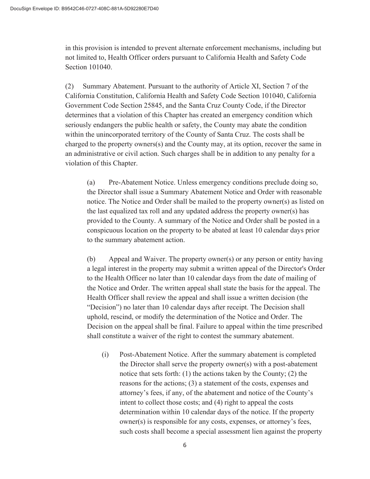in this provision is intended to prevent alternate enforcement mechanisms, including but not limited to, Health Officer orders pursuant to California Health and Safety Code Section 101040.

(2) Summary Abatement. Pursuant to the authority of Article XI, Section 7 of the California Constitution, California Health and Safety Code Section 101040, California Government Code Section 25845, and the Santa Cruz County Code, if the Director determines that a violation of this Chapter has created an emergency condition which seriously endangers the public health or safety, the County may abate the condition within the unincorporated territory of the County of Santa Cruz. The costs shall be charged to the property owners(s) and the County may, at its option, recover the same in an administrative or civil action. Such charges shall be in addition to any penalty for a violation of this Chapter.

(a) Pre-Abatement Notice. Unless emergency conditions preclude doing so, the Director shall issue a Summary Abatement Notice and Order with reasonable notice. The Notice and Order shall be mailed to the property owner(s) as listed on the last equalized tax roll and any updated address the property owner(s) has provided to the County. A summary of the Notice and Order shall be posted in a conspicuous location on the property to be abated at least 10 calendar days prior to the summary abatement action.

(b) Appeal and Waiver. The property owner(s) or any person or entity having a legal interest in the property may submit a written appeal of the Director's Order to the Health Officer no later than 10 calendar days from the date of mailing of the Notice and Order. The written appeal shall state the basis for the appeal. The Health Officer shall review the appeal and shall issue a written decision (the "Decision") no later than 10 calendar days after receipt. The Decision shall uphold, rescind, or modify the determination of the Notice and Order. The Decision on the appeal shall be final. Failure to appeal within the time prescribed shall constitute a waiver of the right to contest the summary abatement.

(i) Post-Abatement Notice. After the summary abatement is completed the Director shall serve the property owner(s) with a post-abatement notice that sets forth: (1) the actions taken by the County; (2) the reasons for the actions; (3) a statement of the costs, expenses and attorney's fees, if any, of the abatement and notice of the County's intent to collect those costs; and (4) right to appeal the costs determination within 10 calendar days of the notice. If the property owner(s) is responsible for any costs, expenses, or attorney's fees, such costs shall become a special assessment lien against the property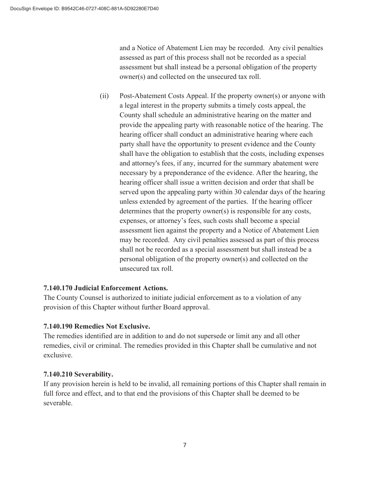and a Notice of Abatement Lien may be recorded. Any civil penalties assessed as part of this process shall not be recorded as a special assessment but shall instead be a personal obligation of the property owner(s) and collected on the unsecured tax roll.

(ii) Post-Abatement Costs Appeal. If the property owner(s) or anyone with a legal interest in the property submits a timely costs appeal, the County shall schedule an administrative hearing on the matter and provide the appealing party with reasonable notice of the hearing. The hearing officer shall conduct an administrative hearing where each party shall have the opportunity to present evidence and the County shall have the obligation to establish that the costs, including expenses and attorney's fees, if any, incurred for the summary abatement were necessary by a preponderance of the evidence. After the hearing, the hearing officer shall issue a written decision and order that shall be served upon the appealing party within 30 calendar days of the hearing unless extended by agreement of the parties. If the hearing officer determines that the property owner(s) is responsible for any costs, expenses, or attorney's fees, such costs shall become a special assessment lien against the property and a Notice of Abatement Lien may be recorded. Any civil penalties assessed as part of this process shall not be recorded as a special assessment but shall instead be a personal obligation of the property owner(s) and collected on the unsecured tax roll.

# **7.140.170 Judicial Enforcement Actions.**

The County Counsel is authorized to initiate judicial enforcement as to a violation of any provision of this Chapter without further Board approval.

# **7.140.190 Remedies Not Exclusive.**

The remedies identified are in addition to and do not supersede or limit any and all other remedies, civil or criminal. The remedies provided in this Chapter shall be cumulative and not exclusive.

## **7.140.210 Severability.**

If any provision herein is held to be invalid, all remaining portions of this Chapter shall remain in full force and effect, and to that end the provisions of this Chapter shall be deemed to be severable.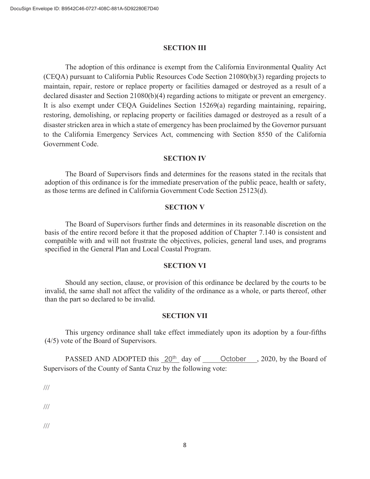#### **SECTION III**

The adoption of this ordinance is exempt from the California Environmental Quality Act (CEQA) pursuant to California Public Resources Code Section 21080(b)(3) regarding projects to maintain, repair, restore or replace property or facilities damaged or destroyed as a result of a declared disaster and Section 21080(b)(4) regarding actions to mitigate or prevent an emergency. It is also exempt under CEQA Guidelines Section 15269(a) regarding maintaining, repairing, restoring, demolishing, or replacing property or facilities damaged or destroyed as a result of a disaster stricken area in which a state of emergency has been proclaimed by the Governor pursuant to the California Emergency Services Act, commencing with Section 8550 of the California Government Code.

#### **SECTION IV**

The Board of Supervisors finds and determines for the reasons stated in the recitals that adoption of this ordinance is for the immediate preservation of the public peace, health or safety, as those terms are defined in California Government Code Section 25123(d).

#### **SECTION V**

The Board of Supervisors further finds and determines in its reasonable discretion on the basis of the entire record before it that the proposed addition of Chapter 7.140 is consistent and compatible with and will not frustrate the objectives, policies, general land uses, and programs specified in the General Plan and Local Coastal Program.

#### **SECTION VI**

Should any section, clause, or provision of this ordinance be declared by the courts to be invalid, the same shall not affect the validity of the ordinance as a whole, or parts thereof, other than the part so declared to be invalid.

#### **SECTION VII**

This urgency ordinance shall take effect immediately upon its adoption by a four-fifths (4/5) vote of the Board of Supervisors.

PASSED AND ADOPTED this  $20<sup>th</sup>$  day of  $\phantom{0}$  October , 2020, by the Board of Supervisors of the County of Santa Cruz by the following vote:

///

///

///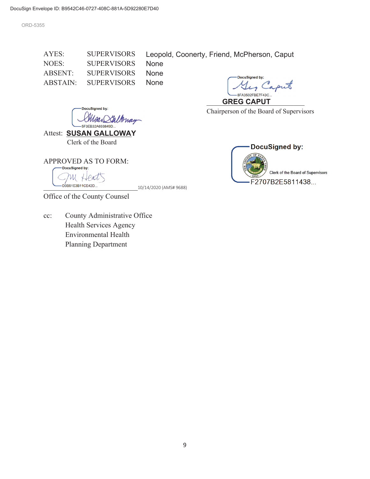ORD-5355

AYES: SUPERVISORS NOES: SUPERVISORS ABSENT: SUPERVISORS ABSTAIN: SUPERVISORS None None None

Leopold, Coonerty, Friend, McPherson, Caput

DocuSigned by: , Caput 8FA3502FBE7F43C.

 $GREG CAPUT$ Chairperson of the Board of Supervisors

DocuSigned by: Saltonay -<br>5F3EB32A693849D..

Attest: **SUSAN GALLOWAY** Clerk of the Board

APPROVED AS TO FORM:<br>  $\overline{\phantom{iiiiiiiiiiiiiiiiiiiiiiiiiiii}}$ 

ru Heat

D9B51E3B11CE42D...<br>10/14/2020 (AMS# 9688)



Office of the County Counsel

cc: County Administrative Office Health Services Agency Environmental Health Planning Department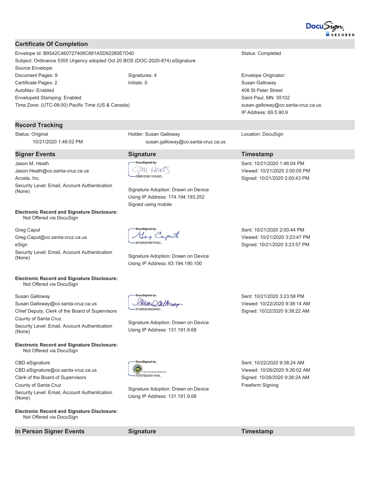

#### **Certificate Of Completion**

Envelope Id: B9542C460727408C881A5D92280E7D40 Status: Completed Subject: Ordinance 5355 Urgency adopted Oct 20 BOS (DOC-2020-874) eSignature Source Envelope: Document Pages: 9 Signatures: 4 Signatures: 4 Envelope Originator: Certificate Pages: 2 **Initials: 0** Initials: 0 Susan Galloway AutoNav: Enabled EnvelopeId Stamping: Enabled Time Zone: (UTC-08:00) Pacific Time (US & Canada)

#### **Record Tracking**

Status: Original 10/21/2020 1:46:02 PM

#### **Signer Events** Solution Signature Signature Timestamp

Jason M. Heath Jason.Heath@co.santa-cruz.ca.us Accela, Inc. Security Level: Email, Account Authentication **County Loven Linds, Account Admiration:** Signature Adoption: Drawn on Device (None)

#### **Electronic Record and Signature Disclosure:**  Not Offered via DocuSign

Greg Caput Greg.Caput@co.santa-cruz.ca.us eSign Security Level: Email, Account Authentication Scenity Edvel: Email, Account Admichication<br>
Signature Adoption: Drawn on Device

#### **Electronic Record and Signature Disclosure:**  Not Offered via DocuSign

Susan Galloway

Susan.Galloway@co.santa-cruz.ca.us

Chief Deputy, Clerk of the Board of Supervisors County of Santa Cruz Security Level: Email, Account Authentication

(None)

**Electronic Record and Signature Disclosure:**  Not Offered via DocuSign

CBD eSignature

CBD.eSignature@co.santa-cruz.ca.us Clerk of the Board of Supervisors

County of Santa Cruz

Security Level: Email, Account Authentication (None)

**Electronic Record and Signature Disclosure:**  Not Offered via DocuSign

#### **In Person Signer Events Signature Signature Timestamp**

Holder: Susan Galloway susan.galloway@co.santa-cruz.ca.us

m Heat D9B51E3B11CE42D

Using IP Address: 174.194.193.252 Signed using mobile

Yes Caput 8FA3502FBE7F43C...

Using IP Address: 63.194.190.100

408 St Peter Street Saint Paul, MN 55102 susan.galloway@co.santa-cruz.ca.us IP Address: 69.5.90.9

Location: DocuSign

Sent: 10/21/2020 1:46:04 PM Viewed: 10/21/2020 2:00:05 PM Signed: 10/21/2020 2:00:43 PM

Sent: 10/21/2020 2:00:44 PM Viewed: 10/21/2020 3:23:47 PM Signed: 10/21/2020 3:23:57 PM

**OCUSianed** by Mar Sallonay -5F3FB32A693849D

Signature Adoption: Drawn on Device Using IP Address: 131.191.9.68

Sent: 10/21/2020 3:23:58 PM Viewed: 10/22/2020 9:38:14 AM Signed: 10/22/2020 9:38:22 AM



Signature Adoption: Drawn on Device Using IP Address: 131.191.9.68

Sent: 10/22/2020 9:38:24 AM Viewed: 10/26/2020 9:26:02 AM Signed: 10/26/2020 9:26:24 AM Freeform Signing